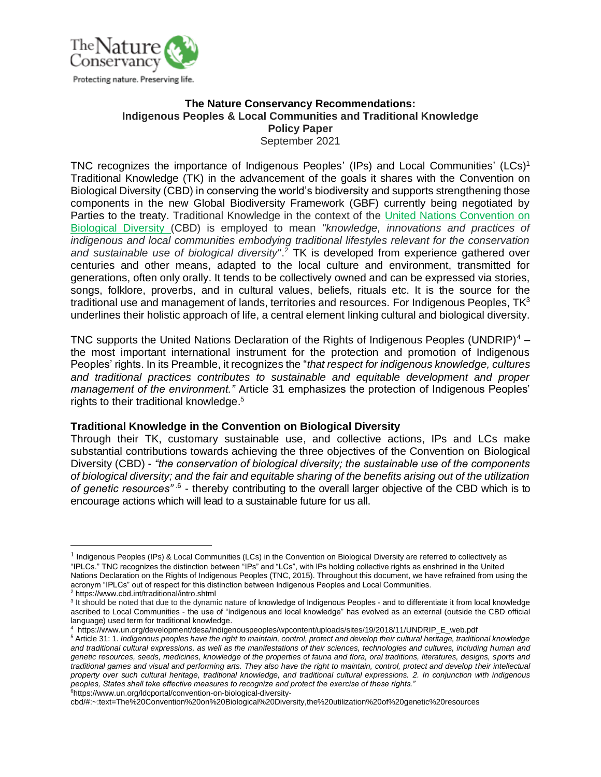

#### **The Nature Conservancy Recommendations: Indigenous Peoples & Local Communities and Traditional Knowledge Policy Paper** September 2021

TNC recognizes the importance of Indigenous Peoples' (IPs) and Local Communities' (LCs)<sup>1</sup> Traditional Knowledge (TK) in the advancement of the goals it shares with the Convention on Biological Diversity (CBD) in conserving the world's biodiversity and supports strengthening those components in the new Global Biodiversity Framework (GBF) currently being negotiated by Parties to the treaty. Traditional Knowledge in the context of the United Nations Convention on Biological Diversity (CBD) is employed to mean *"knowledge, innovations and practices of indigenous and local communities embodying traditional lifestyles relevant for the conservation and sustainable use of biological diversity"*. <sup>2</sup> TK is developed from experience gathered over centuries and other means, adapted to the local culture and environment, transmitted for generations, often only orally. It tends to be collectively owned and can be expressed via stories, songs, folklore, proverbs, and in cultural values, beliefs, rituals etc. It is the source for the traditional use and management of lands, territories and resources. For Indigenous Peoples,  $TK<sup>3</sup>$ underlines their holistic approach of life, a central element linking cultural and biological diversity.

TNC supports the United Nations Declaration of the Rights of Indigenous Peoples (UNDRIP) $4$ the most important international instrument for the protection and promotion of Indigenous Peoples' rights. In its Preamble, it recognizes the "*that respect for indigenous knowledge, cultures and traditional practices contributes to sustainable and equitable development and proper management of the environment."* Article 31 emphasizes the protection of Indigenous Peoples' rights to their traditional knowledge. 5

#### **Traditional Knowledge in the Convention on Biological Diversity**

Through their TK, customary sustainable use, and collective actions, IPs and LCs make substantial contributions towards achieving the three objectives of the Convention on Biological Diversity (CBD) - *"the conservation of biological diversity; the sustainable use of the components of biological diversity; and the fair and equitable sharing of the benefits arising out of the utilization*  of genetic resources<sup>" 6</sup> - thereby contributing to the overall larger objective of the CBD which is to encourage actions which will lead to a sustainable future for us all.

<sup>&</sup>lt;sup>1</sup> Indigenous Peoples (IPs) & Local Communities (LCs) in the Convention on Biological Diversity are referred to collectively as "IPLCs." TNC recognizes the distinction between "IPs" and "LCs", with IPs holding collective rights as enshrined in the United Nations Declaration on the Rights of Indigenous Peoples (TNC, 2015). Throughout this document, we have refrained from using the acronym "IPLCs" out of respect for this distinction between Indigenous Peoples and Local Communities. <sup>2</sup> https://www.cbd.int/traditional/intro.shtml

<sup>&</sup>lt;sup>3</sup> It should be noted that due to the dynamic nature of knowledge of Indigenous Peoples - and to differentiate it from local knowledge ascribed to Local Communities - the use of "indigenous and local knowledge" has evolved as an external (outside the CBD official language) used term for traditional knowledge.

<sup>4</sup> https://www.un.org/development/desa/indigenouspeoples/wpcontent/uploads/sites/19/2018/11/UNDRIP\_E\_web.pdf

<sup>5</sup> Article 31: 1*. Indigenous peoples have the right to maintain, control, protect and develop their cultural heritage, traditional knowledge and traditional cultural expressions, as well as the manifestations of their sciences, technologies and cultures, including human and genetic resources, seeds, medicines, knowledge of the properties of fauna and flora, oral traditions, literatures, designs, sports and traditional games and visual and performing arts. They also have the right to maintain, control, protect and develop their intellectual property over such cultural heritage, traditional knowledge, and traditional cultural expressions. 2. In conjunction with indigenous peoples, States shall take effective measures to recognize and protect the exercise of these rights."*  6https://www.un.org/ldcportal/convention-on-biological-diversity-

cbd/#:~:text=The%20Convention%20on%20Biological%20Diversity,the%20utilization%20of%20genetic%20resources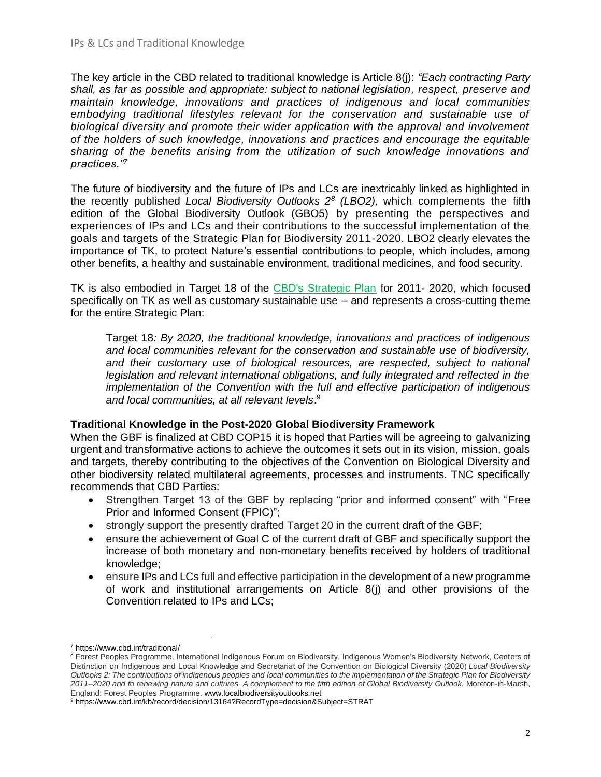The key article in the CBD related to traditional knowledge is Article 8(j): *"Each contracting Party shall, as far as possible and appropriate: subject to national legislation, respect, preserve and maintain knowledge, innovations and practices of indigenous and local communities embodying traditional lifestyles relevant for the conservation and sustainable use of biological diversity and promote their wider application with the approval and involvement of the holders of such knowledge, innovations and practices and encourage the equitable sharing of the benefits arising from the utilization of such knowledge innovations and practices."<sup>7</sup>*

The future of biodiversity and the future of IPs and LCs are inextricably linked as highlighted in the recently published *Local Biodiversity Outlooks 2<sup>8</sup> (LBO2),* which complements the fifth edition of the Global Biodiversity Outlook (GBO5) by presenting the perspectives and experiences of IPs and LCs and their contributions to the successful implementation of the goals and targets of the Strategic Plan for Biodiversity 2011-2020. LBO2 clearly elevates the importance of TK, to protect Nature's essential contributions to people, which includes, among other benefits, a healthy and sustainable environment, traditional medicines, and food security.

TK is also embodied in Target 18 of the [CBD's Strategic Plan](https://www.cbd.int/kb/record/decision/13164?RecordType=decision&Subject=STRAT) for 2011- 2020, which focused specifically on TK as well as customary sustainable use – and represents a cross-cutting theme for the entire Strategic Plan:

Target 18*: By 2020, the traditional knowledge, innovations and practices of indigenous and local communities relevant for the conservation and sustainable use of biodiversity, and their customary use of biological resources, are respected, subject to national legislation and relevant international obligations, and fully integrated and reflected in the implementation of the Convention with the full and effective participation of indigenous and local communities, at all relevant levels*. 9

## **Traditional Knowledge in the Post-2020 Global Biodiversity Framework**

When the GBF is finalized at CBD COP15 it is hoped that Parties will be agreeing to galvanizing urgent and transformative actions to achieve the outcomes it sets out in its vision, mission, goals and targets, thereby contributing to the objectives of the Convention on Biological Diversity and other biodiversity related multilateral agreements, processes and instruments. TNC specifically recommends that CBD Parties:

- Strengthen Target 13 of the GBF by replacing "prior and informed consent" with "Free Prior and Informed Consent (FPIC)";
- strongly support the presently drafted Target 20 in the current draft of the GBF;
- ensure the achievement of Goal C of the current draft of GBF and specifically support the increase of both monetary and non-monetary benefits received by holders of traditional knowledge;
- ensure IPs and LCs full and effective participation in the development of a new programme of work and institutional arrangements on Article 8(j) and other provisions of the Convention related to IPs and LCs;

<sup>7</sup> https://www.cbd.int/traditional/

<sup>&</sup>lt;sup>8</sup> Forest Peoples Programme, International Indigenous Forum on Biodiversity, Indigenous Women's Biodiversity Network, Centers of Distinction on Indigenous and Local Knowledge and Secretariat of the Convention on Biological Diversity (2020) *Local Biodiversity Outlooks 2: The contributions of indigenous peoples and local communities to the implementation of the Strategic Plan for Biodiversity 2011–2020 and to renewing nature and cultures. A complement to the fifth edition of Global Biodiversity Outlook.* Moreton-in-Marsh, England: Forest Peoples Programme. [www.localbiodiversityoutlooks.net](http://www.localbiodiversityoutlooks.net/)

<sup>9</sup> https://www.cbd.int/kb/record/decision/13164?RecordType=decision&Subject=STRAT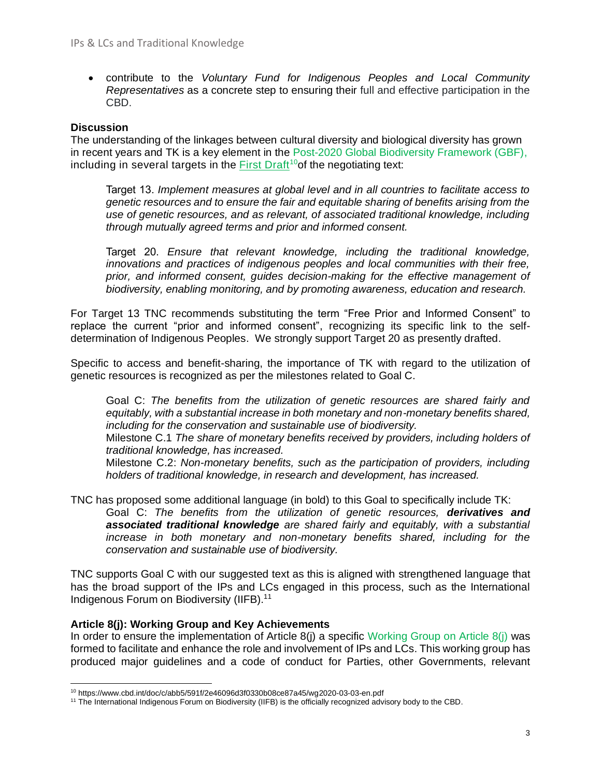• contribute to the *Voluntary Fund for Indigenous Peoples and Local Community Representatives* as a concrete step to ensuring their full and effective participation in the CBD.

## **Discussion**

The understanding of the linkages between cultural diversity and biological diversity has grown in recent years and TK is a key element in the Post-2020 Global Biodiversity Framework (GBF), including in several targets in the First Draft<sup>10</sup> of the negotiating text:

Target 13. *Implement measures at global level and in all countries to facilitate access to genetic resources and to ensure the fair and equitable sharing of benefits arising from the use of genetic resources, and as relevant, of associated traditional knowledge, including through mutually agreed terms and prior and informed consent.*

Target 20. *Ensure that relevant knowledge, including the traditional knowledge, innovations and practices of indigenous peoples and local communities with their free, prior, and informed consent, guides decision-making for the effective management of biodiversity, enabling monitoring, and by promoting awareness, education and research.*

For Target 13 TNC recommends substituting the term "Free Prior and Informed Consent" to replace the current "prior and informed consent", recognizing its specific link to the selfdetermination of Indigenous Peoples. We strongly support Target 20 as presently drafted.

Specific to access and benefit-sharing, the importance of TK with regard to the utilization of genetic resources is recognized as per the milestones related to Goal C.

Goal C: *The benefits from the utilization of genetic resources are shared fairly and equitably, with a substantial increase in both monetary and non-monetary benefits shared, including for the conservation and sustainable use of biodiversity.* 

Milestone C.1 *The share of monetary benefits received by providers, including holders of traditional knowledge, has increased.*

Milestone C.2: *Non-monetary benefits, such as the participation of providers, including holders of traditional knowledge, in research and development, has increased.*

TNC has proposed some additional language (in bold) to this Goal to specifically include TK: Goal C: *The benefits from the utilization of genetic resources, derivatives and associated traditional knowledge are shared fairly and equitably, with a substantial increase in both monetary and non-monetary benefits shared, including for the conservation and sustainable use of biodiversity.*

TNC supports Goal C with our suggested text as this is aligned with strengthened language that has the broad support of the IPs and LCs engaged in this process, such as the International Indigenous Forum on Biodiversity (IIFB).<sup>11</sup>

## **Article 8(j): Working Group and Key Achievements**

In order to ensure the implementation of Article  $8(i)$  a specific [Working Group](https://www.cbd.int/convention/wg8j.shtml#:~:text=It%20is%20for%20this%20reason,and%20to%20promote%20their%20wider) on Article  $8(i)$  was formed to facilitate and enhance the role and involvement of IPs and LCs. This working group has produced major guidelines and a code of conduct for Parties, other Governments, relevant

<sup>10</sup> https://www.cbd.int/doc/c/abb5/591f/2e46096d3f0330b08ce87a45/wg2020-03-03-en.pdf

<sup>11</sup> The International Indigenous Forum on Biodiversity (IIFB) is the officially recognized advisory body to the CBD.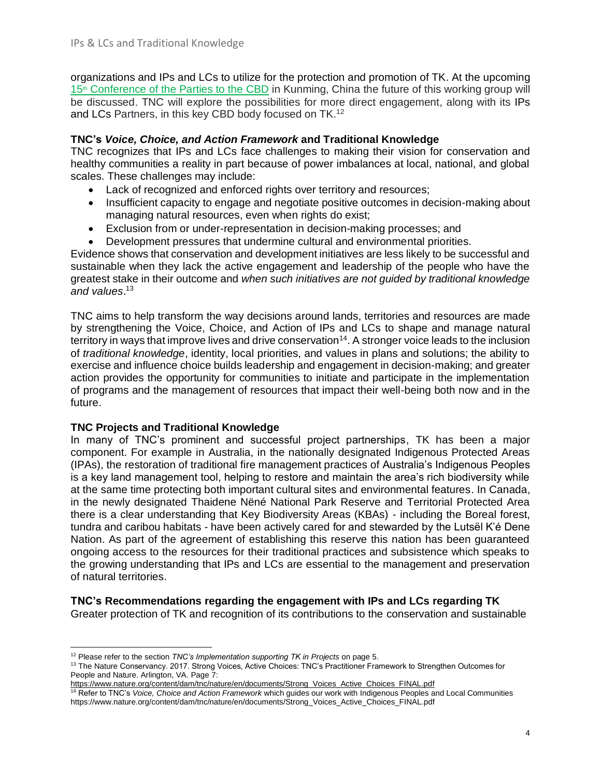organizations and IPs and LCs to utilize for the protection and promotion of TK. At the upcoming 15<sup>th</sup> [Conference of the Parties to the](https://www.cbd.int/cop/) CBD in Kunming, China the future of this working group will be discussed. TNC will explore the possibilities for more direct engagement, along with its IPs and LCs Partners, in this key CBD body focused on TK.<sup>12</sup>

## **TNC's** *Voice, Choice, and Action Framework* **and Traditional Knowledge**

TNC recognizes that IPs and LCs face challenges to making their vision for conservation and healthy communities a reality in part because of power imbalances at local, national, and global scales. These challenges may include:

- Lack of recognized and enforced rights over territory and resources;
- Insufficient capacity to engage and negotiate positive outcomes in decision-making about managing natural resources, even when rights do exist;
- Exclusion from or under-representation in decision-making processes; and
- Development pressures that undermine cultural and environmental priorities.

Evidence shows that conservation and development initiatives are less likely to be successful and sustainable when they lack the active engagement and leadership of the people who have the greatest stake in their outcome and *when such initiatives are not guided by traditional knowledge and values*. 13

TNC aims to help transform the way decisions around lands, territories and resources are made by strengthening the Voice, Choice, and Action of IPs and LCs to shape and manage natural territory in ways that improve lives and drive conservation<sup>14</sup>. A stronger voice leads to the inclusion of *traditional knowledge*, identity, local priorities, and values in plans and solutions; the ability to exercise and influence choice builds leadership and engagement in decision-making; and greater action provides the opportunity for communities to initiate and participate in the implementation of programs and the management of resources that impact their well-being both now and in the future.

## **TNC Projects and Traditional Knowledge**

In many of TNC's prominent and successful project partnerships, TK has been a major component. For example in Australia, in the nationally designated Indigenous Protected Areas (IPAs), the restoration of traditional fire management practices of Australia's Indigenous Peoples is a key land management tool, helping to restore and maintain the area's rich biodiversity while at the same time protecting both important cultural sites and environmental features. In Canada, in the newly designated Thaidene Nëné National Park Reserve and Territorial Protected Area there is a clear understanding that Key Biodiversity Areas (KBAs) - including the Boreal forest, tundra and caribou habitats - have been actively cared for and stewarded by the Lutsël K'é Dene Nation. As part of the agreement of establishing this reserve this nation has been guaranteed ongoing access to the resources for their traditional practices and subsistence which speaks to the growing understanding that IPs and LCs are essential to the management and preservation of natural territories.

## **TNC's Recommendations regarding the engagement with IPs and LCs regarding TK**

Greater protection of TK and recognition of its contributions to the conservation and sustainable

<sup>12</sup> Please refer to the section *TNC's Implementation supporting TK in Projects* on page 5.

<sup>&</sup>lt;sup>13</sup> The Nature Conservancy. 2017. Strong Voices, Active Choices: TNC's Practitioner Framework to Strengthen Outcomes for People and Nature. Arlington, VA. Page 7:

[https://www.nature.org/content/dam/tnc/nature/en/documents/Strong\\_Voices\\_Active\\_Choices\\_FINAL.pdf](https://www.nature.org/content/dam/tnc/nature/en/documents/Strong_Voices_Active_Choices_FINAL.pdf)

<sup>14</sup> Refer to TNC's *Voice, Choice and Action Framework* which guides our work with Indigenous Peoples and Local Communities https://www.nature.org/content/dam/tnc/nature/en/documents/Strong\_Voices\_Active\_Choices\_FINAL.pdf